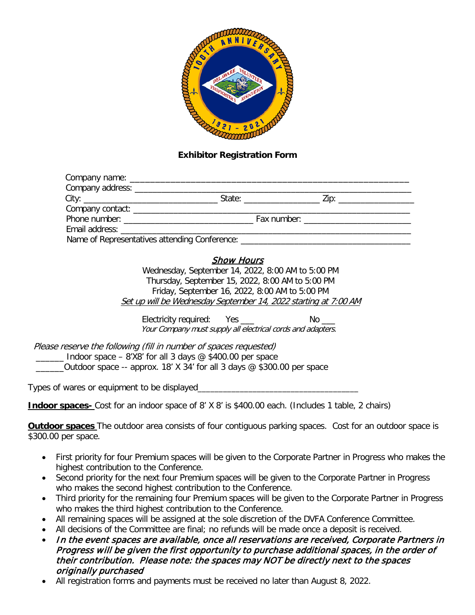

#### **Exhibitor Registration Form**

| Email address: Email and the state of the state of the state of the state of the state of the state of the state of the state of the state of the state of the state of the state of the state of the state of the state of th |  |  |  |
|--------------------------------------------------------------------------------------------------------------------------------------------------------------------------------------------------------------------------------|--|--|--|
| Name of Representatives attending Conference:                                                                                                                                                                                  |  |  |  |

## Show Hours

Wednesday, September 14, 2022, 8:00 AM to 5:00 PM Thursday, September 15, 2022, 8:00 AM to 5:00 PM Friday, September 16, 2022, 8:00 AM to 5:00 PM Set up will be Wednesday September 14, 2022 starting at 7:00 AM

Electricity required: Yes **No Leap Accepts** No  $\blacksquare$ Your Company must supply all electrical cords and adapters.

 Please reserve the following (fill in number of spaces requested)  $\Box$  Indoor space – 8'X8' for all 3 days @ \$400.00 per space  $_0$  Outdoor space -- approx. 18' X 34' for all 3 days  $\mathcal Q$  \$300.00 per space

Types of wares or equipment to be displayed

**Indoor spaces-** Cost for an indoor space of 8' X 8' is \$400.00 each. (Includes 1 table, 2 chairs)

**Outdoor spaces** The outdoor area consists of four contiguous parking spaces. Cost for an outdoor space is \$300.00 per space.

- First priority for four Premium spaces will be given to the Corporate Partner in Progress who makes the highest contribution to the Conference.
- Second priority for the next four Premium spaces will be given to the Corporate Partner in Progress who makes the second highest contribution to the Conference.
- Third priority for the remaining four Premium spaces will be given to the Corporate Partner in Progress who makes the third highest contribution to the Conference.
- All remaining spaces will be assigned at the sole discretion of the DVFA Conference Committee.
- All decisions of the Committee are final; no refunds will be made once a deposit is received.
- In the event spaces are available, once all reservations are received, Corporate Partners in Progress will be given the first opportunity to purchase additional spaces, in the order of their contribution. Please note: the spaces may NOT be directly next to the spaces originally purchased
- All registration forms and payments must be received no later than August 8, 2022.